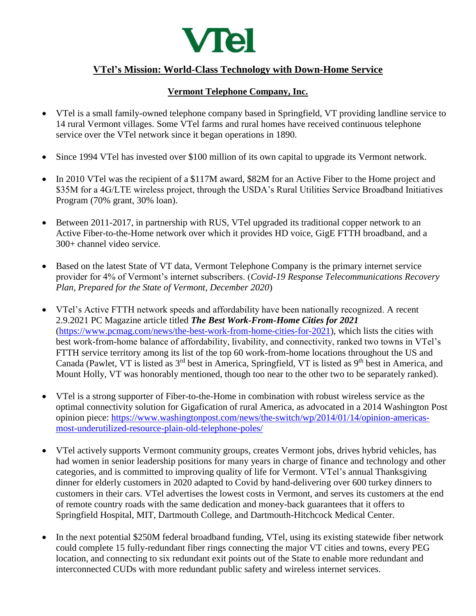

# **VTel's Mission: World-Class Technology with Down-Home Service**

## **Vermont Telephone Company, Inc.**

- VTel is a small family-owned telephone company based in Springfield, VT providing landline service to 14 rural Vermont villages. Some VTel farms and rural homes have received continuous telephone service over the VTel network since it began operations in 1890.
- Since 1994 VTel has invested over \$100 million of its own capital to upgrade its Vermont network.
- In 2010 VTel was the recipient of a \$117M award, \$82M for an Active Fiber to the Home project and \$35M for a 4G/LTE wireless project, through the USDA's Rural Utilities Service Broadband Initiatives Program (70% grant, 30% loan).
- Between 2011-2017, in partnership with RUS, VTel upgraded its traditional copper network to an Active Fiber-to-the-Home network over which it provides HD voice, GigE FTTH broadband, and a 300+ channel video service.
- Based on the latest State of VT data, Vermont Telephone Company is the primary internet service provider for 4% of Vermont's internet subscribers. (*Covid-19 Response Telecommunications Recovery Plan*, *Prepared for the State of Vermont, December 2020*)
- VTel's Active FTTH network speeds and affordability have been nationally recognized. A recent 2.9.2021 PC Magazine article titled *The Best Work-From-Home Cities for 2021* [\(https://www.pcmag.com/news/the-best-work-from-home-cities-for-2021\)](https://www.pcmag.com/news/the-best-work-from-home-cities-for-2021), which lists the cities with best work-from-home balance of affordability, livability, and connectivity, ranked two towns in VTel's FTTH service territory among its list of the top 60 work-from-home locations throughout the US and Canada (Pawlet, VT is listed as 3<sup>rd</sup> best in America, Springfield, VT is listed as 9<sup>th</sup> best in America, and Mount Holly, VT was honorably mentioned, though too near to the other two to be separately ranked).
- VTel is a strong supporter of Fiber-to-the-Home in combination with robust wireless service as the optimal connectivity solution for Gigafication of rural America, as advocated in a 2014 Washington Post opinion piece: [https://www.washingtonpost.com/news/the-switch/wp/2014/01/14/opinion-americas](https://www.washingtonpost.com/news/the-switch/wp/2014/01/14/opinion-americas-most-underutilized-resource-plain-old-telephone-poles/)[most-underutilized-resource-plain-old-telephone-poles/](https://www.washingtonpost.com/news/the-switch/wp/2014/01/14/opinion-americas-most-underutilized-resource-plain-old-telephone-poles/)
- VTel actively supports Vermont community groups, creates Vermont jobs, drives hybrid vehicles, has had women in senior leadership positions for many years in charge of finance and technology and other categories, and is committed to improving quality of life for Vermont. VTel's annual Thanksgiving dinner for elderly customers in 2020 adapted to Covid by hand-delivering over 600 turkey dinners to customers in their cars. VTel advertises the lowest costs in Vermont, and serves its customers at the end of remote country roads with the same dedication and money-back guarantees that it offers to Springfield Hospital, MIT, Dartmouth College, and Dartmouth-Hitchcock Medical Center.
- In the next potential \$250M federal broadband funding, VTel, using its existing statewide fiber network could complete 15 fully-redundant fiber rings connecting the major VT cities and towns, every PEG location, and connecting to six redundant exit points out of the State to enable more redundant and interconnected CUDs with more redundant public safety and wireless internet services.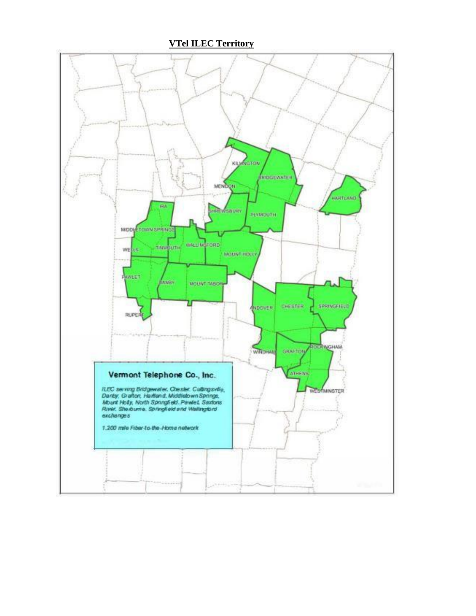**VTel ILEC Territory** 

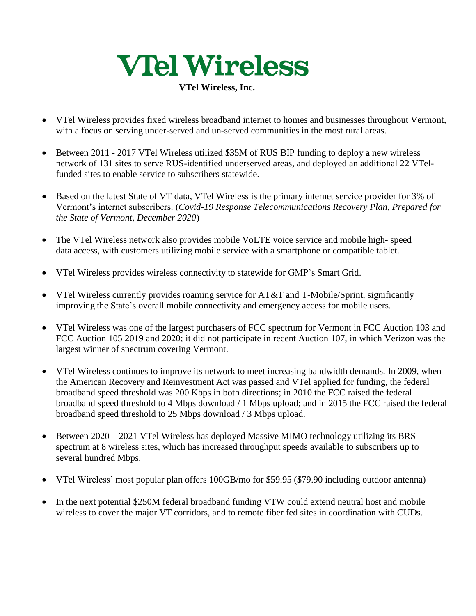# **VIel Wireless**

### **VTel Wireless, Inc.**

- VTel Wireless provides fixed wireless broadband internet to homes and businesses throughout Vermont, with a focus on serving under-served and un-served communities in the most rural areas.
- Between 2011 2017 VTel Wireless utilized \$35M of RUS BIP funding to deploy a new wireless network of 131 sites to serve RUS-identified underserved areas, and deployed an additional 22 VTelfunded sites to enable service to subscribers statewide.
- Based on the latest State of VT data, VTel Wireless is the primary internet service provider for 3% of Vermont's internet subscribers. (*Covid-19 Response Telecommunications Recovery Plan*, *Prepared for the State of Vermont, December 2020*)
- The VTel Wireless network also provides mobile VoLTE voice service and mobile high- speed data access, with customers utilizing mobile service with a smartphone or compatible tablet.
- VTel Wireless provides wireless connectivity to statewide for GMP's Smart Grid.
- VTel Wireless currently provides roaming service for AT&T and T-Mobile/Sprint, significantly improving the State's overall mobile connectivity and emergency access for mobile users.
- VTel Wireless was one of the largest purchasers of FCC spectrum for Vermont in FCC Auction 103 and FCC Auction 105 2019 and 2020; it did not participate in recent Auction 107, in which Verizon was the largest winner of spectrum covering Vermont.
- VTel Wireless continues to improve its network to meet increasing bandwidth demands. In 2009, when the American Recovery and Reinvestment Act was passed and VTel applied for funding, the federal broadband speed threshold was 200 Kbps in both directions; in 2010 the FCC raised the federal broadband speed threshold to 4 Mbps download / 1 Mbps upload; and in 2015 the FCC raised the federal broadband speed threshold to 25 Mbps download / 3 Mbps upload.
- Between  $2020 2021$  VTel Wireless has deployed Massive MIMO technology utilizing its BRS spectrum at 8 wireless sites, which has increased throughput speeds available to subscribers up to several hundred Mbps.
- VTel Wireless' most popular plan offers 100GB/mo for \$59.95 (\$79.90 including outdoor antenna)
- In the next potential \$250M federal broadband funding VTW could extend neutral host and mobile wireless to cover the major VT corridors, and to remote fiber fed sites in coordination with CUDs.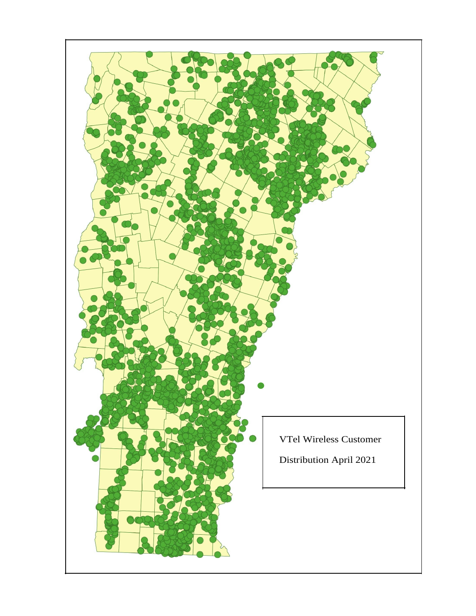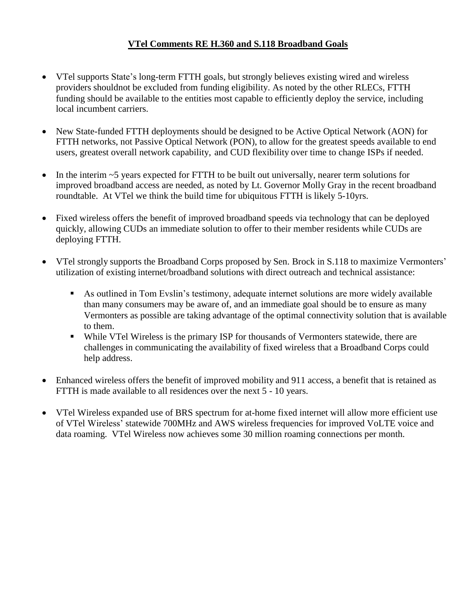## **VTel Comments RE H.360 and S.118 Broadband Goals**

- VTel supports State's long-term FTTH goals, but strongly believes existing wired and wireless providers shouldnot be excluded from funding eligibility. As noted by the other RLECs, FTTH funding should be available to the entities most capable to efficiently deploy the service, including local incumbent carriers.
- New State-funded FTTH deployments should be designed to be Active Optical Network (AON) for FTTH networks, not Passive Optical Network (PON), to allow for the greatest speeds available to end users, greatest overall network capability, and CUD flexibility over time to change ISPs if needed.
- In the interim ~5 years expected for FTTH to be built out universally, nearer term solutions for improved broadband access are needed, as noted by Lt. Governor Molly Gray in the recent broadband roundtable. At VTel we think the build time for ubiquitous FTTH is likely 5-10yrs.
- Fixed wireless offers the benefit of improved broadband speeds via technology that can be deployed quickly, allowing CUDs an immediate solution to offer to their member residents while CUDs are deploying FTTH.
- VTel strongly supports the Broadband Corps proposed by Sen. Brock in S.118 to maximize Vermonters' utilization of existing internet/broadband solutions with direct outreach and technical assistance:
	- As outlined in Tom Evslin's testimony, adequate internet solutions are more widely available than many consumers may be aware of, and an immediate goal should be to ensure as many Vermonters as possible are taking advantage of the optimal connectivity solution that is available to them.
	- While VTel Wireless is the primary ISP for thousands of Vermonters statewide, there are challenges in communicating the availability of fixed wireless that a Broadband Corps could help address.
- Enhanced wireless offers the benefit of improved mobility and 911 access, a benefit that is retained as FTTH is made available to all residences over the next 5 - 10 years.
- VTel Wireless expanded use of BRS spectrum for at-home fixed internet will allow more efficient use of VTel Wireless' statewide 700MHz and AWS wireless frequencies for improved VoLTE voice and data roaming. VTel Wireless now achieves some 30 million roaming connections per month.